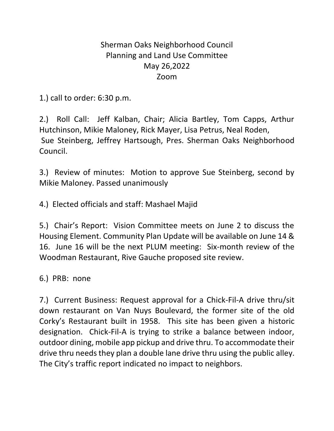## Sherman Oaks Neighborhood Council Planning and Land Use Committee May 26,2022 Zoom

1.) call to order: 6:30 p.m.

2.) Roll Call: Jeff Kalban, Chair; Alicia Bartley, Tom Capps, Arthur Hutchinson, Mikie Maloney, Rick Mayer, Lisa Petrus, Neal Roden, Sue Steinberg, Jeffrey Hartsough, Pres. Sherman Oaks Neighborhood Council.

3.) Review of minutes: Motion to approve Sue Steinberg, second by Mikie Maloney. Passed unanimously

4.) Elected officials and staff: Mashael Majid

5.) Chair's Report: Vision Committee meets on June 2 to discuss the Housing Element. Community Plan Update will be available on June 14 & 16. June 16 will be the next PLUM meeting: Six-month review of the Woodman Restaurant, Rive Gauche proposed site review.

6.) PRB: none

7.) Current Business: Request approval for a Chick-Fil-A drive thru/sit down restaurant on Van Nuys Boulevard, the former site of the old Corky's Restaurant built in 1958. This site has been given a historic designation. Chick-Fil-A is trying to strike a balance between indoor, outdoor dining, mobile app pickup and drive thru. To accommodate their drive thru needs they plan a double lane drive thru using the public alley. The City's traffic report indicated no impact to neighbors.